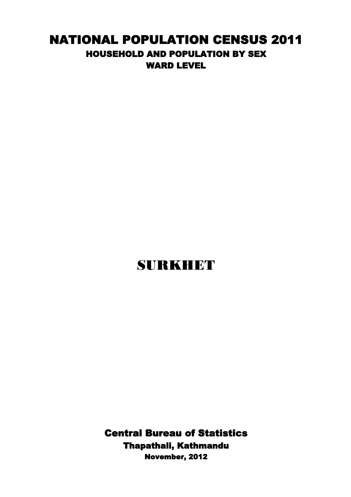## NATIONAL POPULATION CENSUS 2011 HOUSEHOLD AND POPULATION BY SEX WARD LEVEL

## SURKHET

Central Bureau of Statistics Thapathali, Kathmandu November, 2012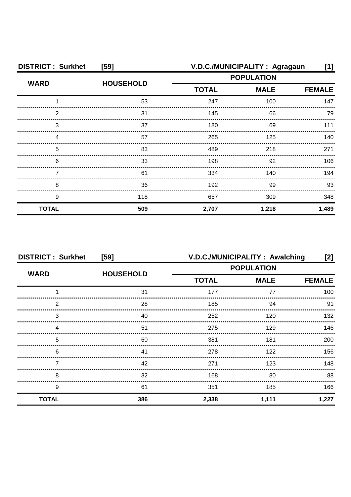| <b>DISTRICT: Surkhet</b> | [59]             | V.D.C./MUNICIPALITY: Agragaun<br>[1]             |       |               |
|--------------------------|------------------|--------------------------------------------------|-------|---------------|
| <b>WARD</b>              | <b>HOUSEHOLD</b> | <b>POPULATION</b><br><b>TOTAL</b><br><b>MALE</b> |       |               |
|                          |                  |                                                  |       | <b>FEMALE</b> |
|                          | 53               | 247                                              | 100   | 147           |
| 2                        | 31               | 145                                              | 66    | 79            |
| 3                        | 37               | 180                                              | 69    | 111           |
|                          | 57               | 265                                              | 125   | 140           |
| 5                        | 83               | 489                                              | 218   | 271           |
| 6                        | 33               | 198                                              | 92    | 106           |
|                          | 61               | 334                                              | 140   | 194           |
| 8                        | 36               | 192                                              | 99    | 93            |
| 9                        | 118              | 657                                              | 309   | 348           |
| <b>TOTAL</b>             | 509              | 2,707                                            | 1,218 | 1,489         |

| <b>DISTRICT: Surkhet</b><br>[59] |                  | V.D.C./MUNICIPALITY: Awalching<br>[2] |               |       |
|----------------------------------|------------------|---------------------------------------|---------------|-------|
| <b>WARD</b>                      | <b>HOUSEHOLD</b> | <b>POPULATION</b>                     |               |       |
|                                  |                  | <b>TOTAL</b>                          | <b>FEMALE</b> |       |
|                                  | 31               | 177                                   | 77            | 100   |
| っ                                | 28               | 185                                   | 94            | 91    |
| 3                                | 40               | 252                                   | 120           | 132   |
|                                  | 51               | 275                                   | 129           | 146.  |
| 5                                | 60               | 381                                   | 181           | 200   |
| 6                                | 41               | 278                                   | 122           | 156   |
|                                  | 42               | 271                                   | 123           | 148   |
| 8                                | 32               | 168                                   | 80            | 88    |
| 9                                | 61               | 351                                   | 185           | 166   |
| <b>TOTAL</b>                     | 386              | 2,338                                 | 1,111         | 1,227 |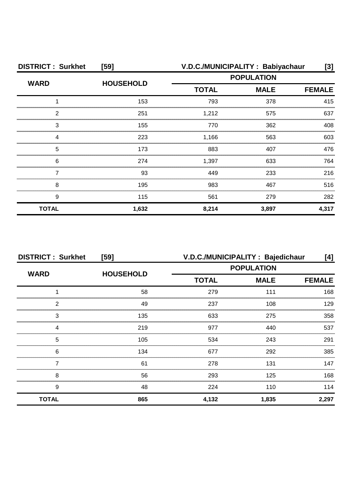| <b>DISTRICT: Surkhet</b> | [59]             |                   | V.D.C./MUNICIPALITY: Babiyachaur | [3]   |
|--------------------------|------------------|-------------------|----------------------------------|-------|
| <b>WARD</b>              | <b>HOUSEHOLD</b> | <b>POPULATION</b> |                                  |       |
|                          |                  | <b>TOTAL</b>      | <b>MALE</b><br><b>FEMALE</b>     |       |
|                          | 153              | 793               | 378                              | 415   |
| っ                        | 251              | 1,212             | 575                              | 637   |
| 3                        | 155              | 770               | 362                              | 408   |
|                          | 223              | 1,166             | 563                              | 603   |
| 5                        | 173              | 883               | 407                              | 476   |
| 6                        | 274              | 1,397             | 633                              | 764   |
|                          | 93               | 449               | 233                              | 216   |
| 8                        | 195              | 983               | 467                              | 516   |
| 9                        | 115              | 561               | 279                              | 282   |
| <b>TOTAL</b>             | 1,632            | 8,214             | 3,897                            | 4,317 |

| <b>DISTRICT: Surkhet</b><br>[59] |                  | V.D.C./MUNICIPALITY : Bajedichaur                |       | [4]           |
|----------------------------------|------------------|--------------------------------------------------|-------|---------------|
| <b>WARD</b>                      | <b>HOUSEHOLD</b> | <b>POPULATION</b><br><b>TOTAL</b><br><b>MALE</b> |       |               |
|                                  |                  |                                                  |       | <b>FEMALE</b> |
|                                  | 58               | 279                                              | 111   | 168           |
| 2                                | 49               | 237                                              | 108   | 129           |
| 3                                | 135              | 633                                              | 275   | 358           |
|                                  | 219              | 977                                              | 440   | 537           |
| 5                                | 105              | 534                                              | 243   | 291           |
| 6                                | 134              | 677                                              | 292   | 385           |
|                                  | 61               | 278                                              | 131   | 147           |
| 8                                | 56               | 293                                              | 125   | 168           |
| 9                                | 48               | 224                                              | 110   | 114           |
| <b>TOTAL</b>                     | 865              | 4,132                                            | 1,835 | 2,297         |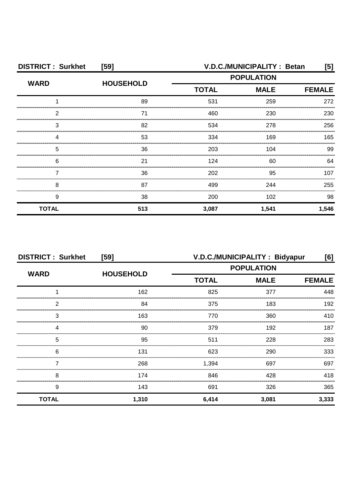| <b>DISTRICT: Surkhet</b><br>[59] |                  | V.D.C./MUNICIPALITY : Betan<br>[5]               |       |               |
|----------------------------------|------------------|--------------------------------------------------|-------|---------------|
| <b>WARD</b>                      | <b>HOUSEHOLD</b> | <b>POPULATION</b><br><b>MALE</b><br><b>TOTAL</b> |       |               |
|                                  |                  |                                                  |       | <b>FEMALE</b> |
|                                  | 89               | 531                                              | 259   | 272           |
| ົ                                | 71               | 460                                              | 230   | 230           |
| 3                                | 82               | 534                                              | 278   | 256           |
|                                  | 53               | 334                                              | 169   | 165           |
| 5                                | 36               | 203                                              | 104   | 99            |
| 6                                | 21               | 124                                              | 60    | 64            |
|                                  | 36               | 202                                              | 95    | 107           |
| 8                                | 87               | 499                                              | 244   | 255           |
| 9                                | 38               | 200                                              | 102   | 98            |
| <b>TOTAL</b>                     | 513              | 3,087                                            | 1,541 | 1,546         |

| <b>DISTRICT: Surkhet</b><br>[59] |                  | V.D.C./MUNICIPALITY: Bidyapur<br>[6] |             |               |
|----------------------------------|------------------|--------------------------------------|-------------|---------------|
| <b>WARD</b>                      |                  | <b>POPULATION</b>                    |             |               |
|                                  | <b>HOUSEHOLD</b> | <b>TOTAL</b>                         | <b>MALE</b> | <b>FEMALE</b> |
|                                  | 162              | 825                                  | 377         | 448           |
| っ                                | 84               | 375                                  | 183         | 192           |
| 3                                | 163              | 770                                  | 360         | 410           |
|                                  | 90               | 379                                  | 192         | 187           |
| 5                                | 95               | 511                                  | 228         | 283           |
| 6                                | 131              | 623                                  | 290         | 333           |
|                                  | 268              | 1,394                                | 697         | 697           |
| 8                                | 174              | 846                                  | 428         | 418           |
| 9                                | 143              | 691                                  | 326         | 365           |
| <b>TOTAL</b>                     | 1,310            | 6,414                                | 3,081       | 3,333         |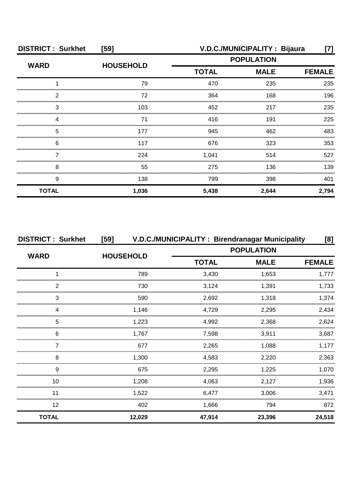| <b>DISTRICT: Surkhet</b> | $[59]$           |                             | V.D.C./MUNICIPALITY: Bijaura | [7]           |
|--------------------------|------------------|-----------------------------|------------------------------|---------------|
| <b>WARD</b>              | <b>HOUSEHOLD</b> | <b>POPULATION</b>           |                              |               |
|                          |                  | <b>TOTAL</b><br><b>MALE</b> |                              | <b>FEMALE</b> |
|                          | 79               | 470                         | 235                          | 235           |
| っ                        | 72               | 364                         | 168                          | 196           |
| 3                        | 103              | 452                         | 217                          | 235           |
|                          | 71               | 416                         | 191                          | 225           |
| 5                        | 177              | 945                         | 462                          | 483           |
| 6                        | 117              | 676                         | 323                          | 353           |
|                          | 224              | 1,041                       | 514                          | 527           |
| 8                        | 55               | 275                         | 136                          | 139           |
| 9                        | 138              | 799                         | 398                          | 401           |
| <b>TOTAL</b>             | 1,036            | 5,438                       | 2,644                        | 2,794         |

| <b>DISTRICT: Surkhet</b> | $[59]$           |              | V.D.C./MUNICIPALITY: Birendranagar Municipality |               |  |  |
|--------------------------|------------------|--------------|-------------------------------------------------|---------------|--|--|
|                          |                  |              | <b>POPULATION</b>                               |               |  |  |
| <b>WARD</b>              | <b>HOUSEHOLD</b> | <b>TOTAL</b> | <b>MALE</b>                                     | <b>FEMALE</b> |  |  |
|                          | 789              | 3,430        | 1,653                                           | 1.777         |  |  |
| 2                        | 730              | 3,124        | 1,391                                           | 1.733         |  |  |
| 3                        | 590              | 2,692        | 1,318                                           | 1,374         |  |  |
|                          | 1,146            | 4,729        | 2,295                                           | 2,434         |  |  |
| 5                        | 1,223            | 4,992        | 2,368                                           | 2,624         |  |  |
| 6                        | 1.767            | 7,598        | 3,911                                           | 3,687         |  |  |
|                          | 677              | 2,265        | 1,088                                           | 1.177         |  |  |
| 8                        | 1,300            | 4,583        | 2,220                                           | 2,363         |  |  |
| 9                        | 675              | 2,295        | 1.225                                           | 1.070         |  |  |
| 10                       | 1.208            | 4.063        | 2,127                                           | 1,936         |  |  |
| 11                       | 1,522            | 6,477        | 3,006                                           | 3,471         |  |  |
| 12                       | 402              | 1,666        | 794                                             | 872           |  |  |
| <b>TOTAL</b>             | 12,029           | 47,914       | 23,396                                          | 24,518        |  |  |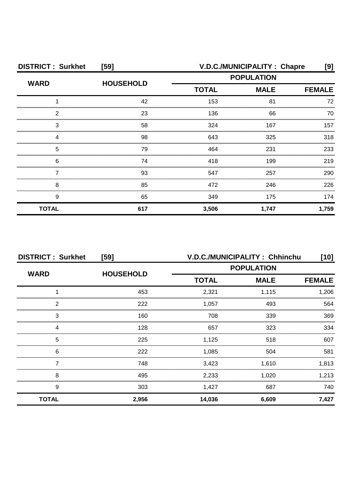| <b>DISTRICT: Surkhet</b><br>[59] |                  | V.D.C./MUNICIPALITY : Chapre<br>[9] |                              |       |
|----------------------------------|------------------|-------------------------------------|------------------------------|-------|
| <b>WARD</b>                      | <b>HOUSEHOLD</b> | <b>POPULATION</b>                   |                              |       |
|                                  |                  | <b>TOTAL</b>                        | <b>MALE</b><br><b>FEMALE</b> |       |
|                                  | 42               | 153                                 | 81                           | 72    |
| ◠                                | 23               | 136                                 | 66                           | 70    |
| З                                | 58               | 324                                 | 167                          | 157   |
|                                  | 98               | 643                                 | 325                          | 318   |
| 5                                | 79               | 464                                 | 231                          | 233   |
| 6                                | 74               | 418                                 | 199                          | 219   |
|                                  | 93               | 547                                 | 257                          | 290   |
| 8                                | 85               | 472                                 | 246                          | 226   |
| 9                                | 65               | 349                                 | 175                          | 174   |
| <b>TOTAL</b>                     | 617              | 3,506                               | 1,747                        | 1,759 |

| <b>DISTRICT: Surkhet</b><br>[59] |                  | V.D.C./MUNICIPALITY: Chhinchu<br>[10] |             |               |
|----------------------------------|------------------|---------------------------------------|-------------|---------------|
| <b>WARD</b>                      |                  | <b>POPULATION</b>                     |             |               |
|                                  | <b>HOUSEHOLD</b> | <b>TOTAL</b>                          | <b>MALE</b> | <b>FEMALE</b> |
|                                  | 453              | 2,321                                 | 1,115       | 1,206         |
| 2                                | 222              | 1,057                                 | 493         | 564           |
| 3                                | 160              | 708                                   | 339         | 369           |
|                                  | 128              | 657                                   | 323         | 334           |
| 5                                | 225              | 1,125                                 | 518         | 607           |
| 6                                | 222              | 1,085                                 | 504         | 581           |
|                                  | 748              | 3,423                                 | 1,610       | 1,813         |
| 8                                | 495              | 2,233                                 | 1,020       | 1,213         |
| 9                                | 303              | 1,427                                 | 687         | 740           |
| <b>TOTAL</b>                     | 2,956            | 14,036                                | 6,609       | 7,427         |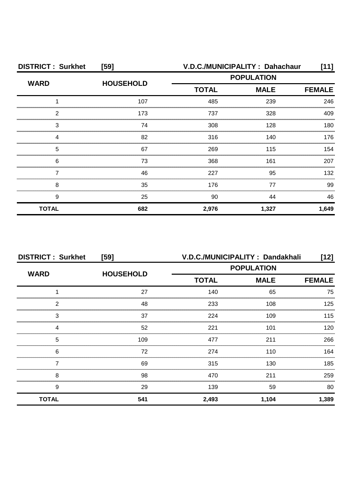| <b>DISTRICT: Surkhet</b> | [59]             |                   | V.D.C./MUNICIPALITY: Dahachaur | [11]          |
|--------------------------|------------------|-------------------|--------------------------------|---------------|
| <b>WARD</b>              | <b>HOUSEHOLD</b> | <b>POPULATION</b> |                                |               |
|                          |                  | <b>TOTAL</b>      | <b>MALE</b>                    | <b>FEMALE</b> |
|                          | 107              | 485               | 239                            | 246           |
| 2                        | 173              | 737               | 328                            | 409           |
| З                        | 74               | 308               | 128                            | 180           |
|                          | 82               | 316               | 140                            | 176           |
| 5                        | 67               | 269               | 115                            | 154           |
| 6                        | 73               | 368               | 161                            | 207           |
|                          | 46               | 227               | 95                             | 132           |
| 8                        | 35               | 176               | 77                             | 99            |
| 9                        | 25               | 90                | 44                             | 46            |
| <b>TOTAL</b>             | 682              | 2,976             | 1,327                          | 1,649         |

| <b>DISTRICT: Surkhet</b> | [59]             | V.D.C./MUNICIPALITY: Dandakhali |             | [12]  |
|--------------------------|------------------|---------------------------------|-------------|-------|
| <b>WARD</b>              | <b>HOUSEHOLD</b> | <b>POPULATION</b>               |             |       |
|                          |                  | <b>TOTAL</b>                    | <b>MALE</b> |       |
|                          | 27               | 140                             | 65          | 75    |
| 2                        | 48               | 233                             | 108         | 125   |
| 3                        | 37               | 224                             | 109         | 115   |
|                          | 52               | 221                             | 101         | 120   |
| 5                        | 109              | 477                             | 211         | 266   |
| 6                        | 72               | 274                             | 110         | 164   |
|                          | 69               | 315                             | 130         | 185   |
| 8                        | 98               | 470                             | 211         | 259   |
| 9                        | 29               | 139                             | 59          | 80    |
| <b>TOTAL</b>             | 541              | 2,493                           | 1,104       | 1,389 |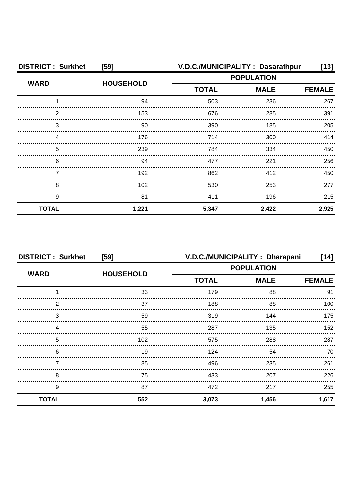| <b>DISTRICT: Surkhet</b> | [59]             | V.D.C./MUNICIPALITY: Dasarathpur |             |               |
|--------------------------|------------------|----------------------------------|-------------|---------------|
| <b>WARD</b>              | <b>HOUSEHOLD</b> | <b>POPULATION</b>                |             |               |
|                          |                  | <b>TOTAL</b>                     | <b>MALE</b> | <b>FEMALE</b> |
|                          | 94               | 503                              | 236         | 267           |
| າ                        | 153              | 676                              | 285         | 391           |
| 3                        | 90               | 390                              | 185         | 205           |
|                          | 176              | 714                              | 300         | 414           |
| 5                        | 239              | 784                              | 334         | 450           |
| 6                        | 94               | 477                              | 221         | 256           |
|                          | 192              | 862                              | 412         | 450           |
| 8                        | 102              | 530                              | 253         | 277           |
| 9                        | 81               | 411                              | 196         | 215           |
| <b>TOTAL</b>             | 1,221            | 5,347                            | 2,422       | 2,925         |

| <b>DISTRICT: Surkhet</b> | [59]             |                   | V.D.C./MUNICIPALITY: Dharapani | [14]          |
|--------------------------|------------------|-------------------|--------------------------------|---------------|
|                          | <b>HOUSEHOLD</b> | <b>POPULATION</b> |                                |               |
| <b>WARD</b>              |                  | <b>TOTAL</b>      | <b>MALE</b>                    | <b>FEMALE</b> |
|                          | 33               | 179               | 88                             | 91            |
| 2                        | 37               | 188               | 88                             | 100           |
| 3                        | 59               | 319               | 144                            | 175           |
|                          | 55               | 287               | 135                            | 152           |
| 5                        | 102              | 575               | 288                            | 287           |
| 6                        | 19               | 124               | 54                             | 70            |
|                          | 85               | 496               | 235                            | 261           |
| 8                        | 75               | 433               | 207                            | 226           |
| 9                        | 87               | 472               | 217                            | 255           |
| <b>TOTAL</b>             | 552              | 3,073             | 1,456                          | 1,617         |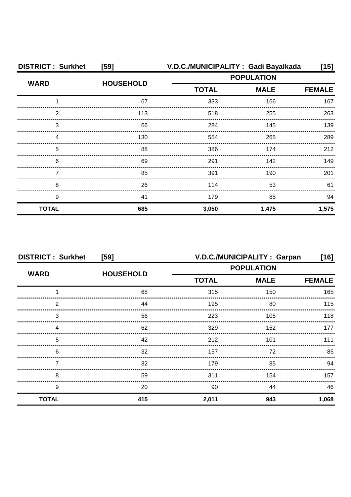| <b>DISTRICT: Surkhet</b> | [59]             | V.D.C./MUNICIPALITY: Gadi Bayalkada |               | [15]  |
|--------------------------|------------------|-------------------------------------|---------------|-------|
| <b>WARD</b>              | <b>HOUSEHOLD</b> | <b>POPULATION</b>                   |               |       |
|                          |                  | <b>TOTAL</b><br><b>MALE</b>         | <b>FEMALE</b> |       |
|                          | 67               | 333                                 | 166           | 167   |
| 2                        | 113              | 518                                 | 255           | 263   |
| 3                        | 66               | 284                                 | 145           | 139   |
| Δ                        | 130              | 554                                 | 265           | 289   |
| 5                        | 88               | 386                                 | 174           | 212   |
| 6                        | 69               | 291                                 | 142           | 149   |
|                          | 85               | 391                                 | 190           | 201   |
| 8                        | 26               | 114                                 | 53            | 61    |
| 9                        | 41               | 179                                 | 85            | 94    |
| <b>TOTAL</b>             | 685              | 3,050                               | 1,475         | 1,575 |

| <b>DISTRICT: Surkhet</b> | [59]             | V.D.C./MUNICIPALITY: Garpan |             |               |  |
|--------------------------|------------------|-----------------------------|-------------|---------------|--|
| <b>WARD</b>              | <b>HOUSEHOLD</b> | <b>POPULATION</b>           |             |               |  |
|                          |                  | <b>TOTAL</b>                | <b>MALE</b> | <b>FEMALE</b> |  |
|                          | 68               | 315                         | 150         | 165           |  |
| っ                        | 44               | 195                         | 80          | 115           |  |
| 3                        | 56               | 223                         | 105         | 118           |  |
|                          | 62               | 329                         | 152         |               |  |
| 5                        | 42               | 212                         | 101         | 111           |  |
| 6                        | 32               | 157                         | 72          | 85            |  |
|                          | 32               | 179                         | 85          | 94            |  |
| 8                        | 59               | 311                         | 154         | 157           |  |
| 9                        | 20               | 90                          | 44          | 46            |  |
| <b>TOTAL</b>             | 415              | 2,011                       | 943         | 1,068         |  |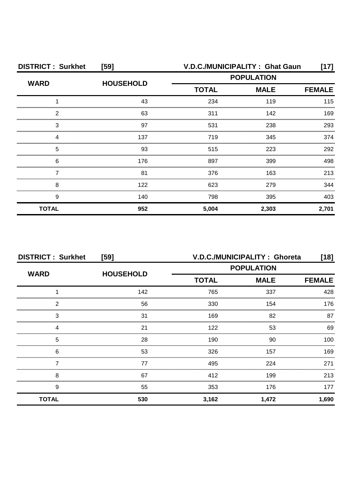| <b>DISTRICT: Surkhet</b> | [59]             | V.D.C./MUNICIPALITY: Ghat Gaun<br>[17] |             |               |  |
|--------------------------|------------------|----------------------------------------|-------------|---------------|--|
| <b>WARD</b>              | <b>HOUSEHOLD</b> | <b>POPULATION</b>                      |             |               |  |
|                          |                  | <b>TOTAL</b>                           | <b>MALE</b> | <b>FEMALE</b> |  |
|                          | 43               | 234                                    | 119         | 115           |  |
| 2                        | 63               | 311                                    | 142         | 169           |  |
| З                        | 97               | 531                                    | 238         | 293           |  |
|                          | 137              | 719                                    | 345         | 374           |  |
| 5                        | 93               | 515                                    | 223         | 292           |  |
| 6                        | 176              | 897                                    | 399         | 498           |  |
|                          | 81               | 376                                    | 163         | 213           |  |
| 8                        | 122              | 623                                    | 279         | 344           |  |
| 9                        | 140              | 798                                    | 395         | 403           |  |
| <b>TOTAL</b>             | 952              | 5,004                                  | 2,303       | 2,701         |  |

| <b>DISTRICT: Surkhet</b><br>[59] |                  | V.D.C./MUNICIPALITY: Ghoreta<br>[18] |                              |       |  |
|----------------------------------|------------------|--------------------------------------|------------------------------|-------|--|
| <b>WARD</b>                      | <b>HOUSEHOLD</b> | <b>POPULATION</b>                    |                              |       |  |
|                                  |                  | <b>TOTAL</b>                         | <b>MALE</b><br><b>FEMALE</b> |       |  |
|                                  | 142              | 765                                  | 337                          | 428   |  |
| 2                                | 56               | 330                                  | 154                          | 176   |  |
| 3                                | 31               | 169                                  | 82                           | 87    |  |
|                                  | 21               | 122                                  | 53                           | 69    |  |
| 5                                | 28               | 190                                  | 90                           | 100   |  |
| 6                                | 53               | 326                                  | 157                          | 169   |  |
|                                  | 77               | 495                                  | 224                          | 271   |  |
| 8                                | 67               | 412                                  | 199                          | 213   |  |
| 9                                | 55               | 353                                  | 176                          | 177   |  |
| <b>TOTAL</b>                     | 530              | 3,162                                | 1,472                        | 1,690 |  |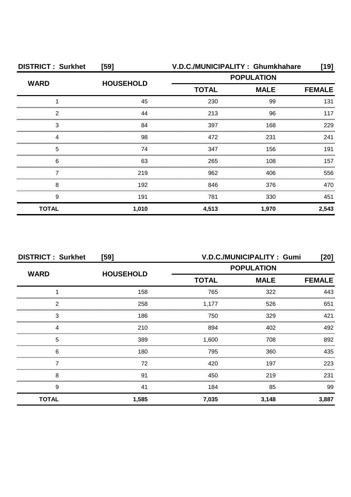| <b>DISTRICT: Surkhet</b> | $[59]$           | V.D.C./MUNICIPALITY: Ghumkhahare |             |               |  |
|--------------------------|------------------|----------------------------------|-------------|---------------|--|
| <b>WARD</b>              | <b>HOUSEHOLD</b> | <b>POPULATION</b>                |             |               |  |
|                          |                  | <b>TOTAL</b>                     | <b>MALE</b> | <b>FEMALE</b> |  |
|                          | 45               | 230                              | 99          | 131           |  |
| 2                        | 44               | 213                              | 96          | 117           |  |
| 3                        | 84               | 397                              | 168         | 229           |  |
| Δ                        | 98               | 472                              | 231         | 241           |  |
| 5                        | 74               | 347                              | 156         | 191           |  |
| 6                        | 63               | 265                              | 108         | 157           |  |
|                          | 219              | 962                              | 406         | 556           |  |
| 8                        | 192              | 846                              | 376         | 470           |  |
| 9                        | 191              | 781                              | 330         | 451           |  |
| <b>TOTAL</b>             | 1,010            | 4,513                            | 1,970       | 2,543         |  |

| <b>DISTRICT: Surkhet</b><br>[59] |                  |              | V.D.C./MUNICIPALITY: Gumi | [20]          |  |
|----------------------------------|------------------|--------------|---------------------------|---------------|--|
| <b>WARD</b>                      | <b>HOUSEHOLD</b> |              | <b>POPULATION</b>         |               |  |
|                                  |                  | <b>TOTAL</b> | <b>MALE</b>               | <b>FEMALE</b> |  |
|                                  | 158              | 765          | 322                       | 443           |  |
| 2                                | 258              | 1,177        | 526                       | 651           |  |
| 3                                | 186              | 750          | 329                       | 421           |  |
|                                  | 210              | 894          | 402                       | 492           |  |
| 5                                | 389              | 1,600        | 708                       | 892           |  |
| 6                                | 180              | 795          | 360                       | 435           |  |
|                                  | 72               | 420          | 197                       | 223           |  |
| 8                                | 91               | 450          | 219                       | 231           |  |
| 9                                | 41               | 184          | 85                        | 99            |  |
| <b>TOTAL</b>                     | 1,585            | 7,035        | 3,148                     | 3,887         |  |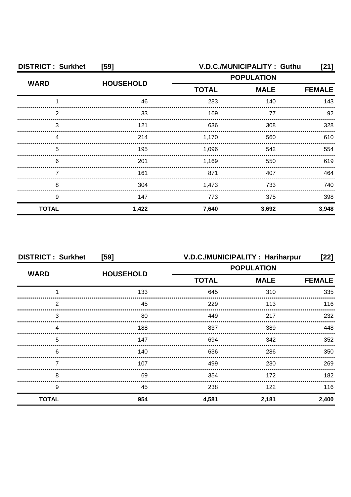| <b>DISTRICT: Surkhet</b> | [59]             | V.D.C./MUNICIPALITY: Guthu<br>[21] |                   |               |
|--------------------------|------------------|------------------------------------|-------------------|---------------|
| <b>WARD</b>              | <b>HOUSEHOLD</b> |                                    | <b>POPULATION</b> |               |
|                          |                  | <b>TOTAL</b>                       | <b>MALE</b>       | <b>FEMALE</b> |
|                          | 46               | 283                                | 140               | 143           |
| っ                        | 33               | 169                                | 77                | 92            |
| 3                        | 121              | 636                                | 308               | 328           |
|                          | 214              | 1,170                              | 560               | 610           |
| 5                        | 195              | 1,096                              | 542               | 554           |
| 6                        | 201              | 1,169                              | 550               | 619           |
|                          | 161              | 871                                | 407               | 464           |
| 8                        | 304              | 1,473                              | 733               | 740           |
| 9                        | 147              | 773                                | 375               | 398           |
| <b>TOTAL</b>             | 1,422            | 7,640                              | 3,692             | 3,948         |

| <b>DISTRICT: Surkhet</b> | [59]             |                   | V.D.C./MUNICIPALITY: Hariharpur | [22]          |
|--------------------------|------------------|-------------------|---------------------------------|---------------|
|                          |                  | <b>POPULATION</b> |                                 |               |
| <b>WARD</b>              | <b>HOUSEHOLD</b> | <b>TOTAL</b>      | <b>MALE</b>                     | <b>FEMALE</b> |
|                          | 133              | 645               | 310                             | 335           |
| 2                        | 45               | 229               | 113                             | 116           |
| 3                        | 80               | 449               | 217                             | 232           |
| Δ                        | 188              | 837               | 389                             | 448           |
| 5                        | 147              | 694               | 342                             | 352           |
| 6                        | 140              | 636               | 286                             | 350           |
|                          | 107              | 499               | 230                             | 269           |
| 8                        | 69               | 354               | 172                             | 182           |
| 9                        | 45               | 238               | 122                             | 116           |
| <b>TOTAL</b>             | 954              | 4,581             | 2,181                           | 2,400         |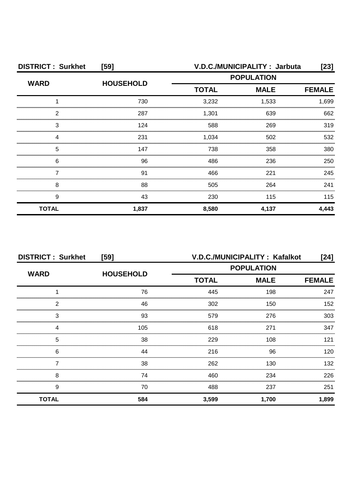| <b>DISTRICT: Surkhet</b><br>[59] |                  | V.D.C./MUNICIPALITY: Jarbuta<br>[23] |                   |               |
|----------------------------------|------------------|--------------------------------------|-------------------|---------------|
| <b>WARD</b>                      | <b>HOUSEHOLD</b> |                                      | <b>POPULATION</b> |               |
|                                  |                  | <b>TOTAL</b>                         | <b>MALE</b>       | <b>FEMALE</b> |
|                                  | 730              | 3,232                                | 1,533             | 1,699         |
| 2                                | 287              | 1,301                                | 639               | 662           |
| 3                                | 124              | 588                                  | 269               | 319           |
|                                  | 231              | 1,034                                | 502               | 532           |
| 5                                | 147              | 738                                  | 358               | 380           |
| 6                                | 96               | 486                                  | 236               | 250           |
|                                  | 91               | 466                                  | 221               | 245           |
| 8                                | 88               | 505                                  | 264               | 241           |
| 9                                | 43               | 230                                  | 115               | 115           |
| <b>TOTAL</b>                     | 1,837            | 8,580                                | 4,137             | 4,443         |

| <b>DISTRICT: Surkhet</b><br>[59] |                  |                   | V.D.C./MUNICIPALITY: Kafalkot | [24]          |
|----------------------------------|------------------|-------------------|-------------------------------|---------------|
| <b>WARD</b>                      | <b>HOUSEHOLD</b> | <b>POPULATION</b> |                               |               |
|                                  |                  | <b>TOTAL</b>      | <b>MALE</b>                   | <b>FEMALE</b> |
|                                  | 76               | 445               | 198                           | 247           |
| 2                                | 46               | 302               | 150                           | 152           |
| 3                                | 93               | 579               | 276                           | 303           |
|                                  | 105              | 618               | 271                           | 347           |
| 5                                | 38               | 229               | 108                           | 121           |
| 6                                | 44               | 216               | 96                            | 120.          |
|                                  | 38               | 262               | 130                           | 132           |
| 8                                | 74               | 460               | 234                           | 226           |
| 9                                | 70               | 488               | 237                           | 251           |
| <b>TOTAL</b>                     | 584              | 3,599             | 1,700                         | 1,899         |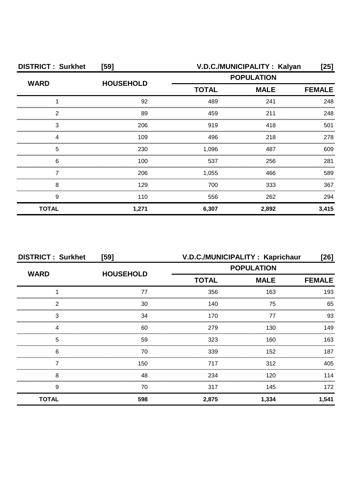| <b>DISTRICT: Surkhet</b><br>[59] |                  |                             | V.D.C./MUNICIPALITY: Kalyan | [25]  |
|----------------------------------|------------------|-----------------------------|-----------------------------|-------|
| <b>WARD</b>                      |                  | <b>POPULATION</b>           |                             |       |
|                                  | <b>HOUSEHOLD</b> | <b>TOTAL</b><br><b>MALE</b> | <b>FEMALE</b>               |       |
|                                  | 92               | 489                         | 241                         | 248   |
| っ                                | 89               | 459                         | 211                         | 248   |
| 3                                | 206              | 919                         | 418                         | 501   |
|                                  | 109              | 496                         | 218                         | 278   |
| 5                                | 230              | 1.096                       | 487                         | 609   |
| 6                                | 100              | 537                         | 256                         | 281   |
|                                  | 206              | 1,055                       | 466                         | 589   |
| 8                                | 129              | 700                         | 333                         | 367   |
| 9                                | 110              | 556                         | 262                         | 294   |
| <b>TOTAL</b>                     | 1,271            | 6,307                       | 2,892                       | 3,415 |

| <b>DISTRICT: Surkhet</b> | [59]             |                   | V.D.C./MUNICIPALITY: Kaprichaur | [26]          |
|--------------------------|------------------|-------------------|---------------------------------|---------------|
| <b>WARD</b>              | <b>HOUSEHOLD</b> | <b>POPULATION</b> |                                 |               |
|                          |                  | <b>TOTAL</b>      | <b>MALE</b>                     | <b>FEMALE</b> |
|                          | 77               | 356               | 163                             | 193           |
| っ                        | 30               | 140               | 75                              | 65            |
| 3                        | 34               | 170               | 77                              | 93            |
|                          | 60               | 279               | 130                             | 149           |
| 5                        | 59               | 323               | 160                             | 163           |
| 6                        | 70               | 339               | 152                             | 187           |
|                          | 150              | 717               | 312                             | 405           |
| 8                        | 48               | 234               | 120                             | 114           |
| 9                        | 70               | 317               | 145                             | 172           |
| <b>TOTAL</b>             | 598              | 2,875             | 1,334                           | 1,541         |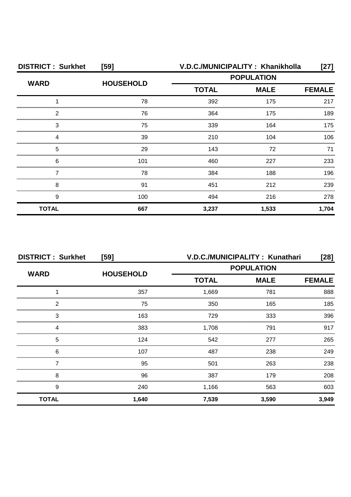| <b>DISTRICT: Surkhet</b> | [59]             | V.D.C./MUNICIPALITY: Khanikholla |                   | [27]          |
|--------------------------|------------------|----------------------------------|-------------------|---------------|
| <b>WARD</b>              |                  |                                  | <b>POPULATION</b> |               |
|                          | <b>HOUSEHOLD</b> | <b>TOTAL</b>                     | <b>MALE</b>       | <b>FEMALE</b> |
|                          | 78               | 392                              | 175               | 217           |
| 2                        | 76               | 364                              | 175               | 189           |
| 3                        | 75               | 339                              | 164               | 175           |
|                          | 39               | 210                              | 104               | 106           |
| 5                        | 29               | 143                              | 72                | 71            |
| 6                        | 101              | 460                              | 227               | 233           |
|                          | 78               | 384                              | 188               | 196           |
| 8                        | 91               | 451                              | 212               | 239           |
| 9                        | 100              | 494                              | 216               | 278           |
| <b>TOTAL</b>             | 667              | 3,237                            | 1,533             | 1,704         |

|              | <b>DISTRICT: Surkhet</b><br>$[59]$ |                   | V.D.C./MUNICIPALITY: Kunathari<br>$[28]$ |               |  |
|--------------|------------------------------------|-------------------|------------------------------------------|---------------|--|
|              |                                    | <b>POPULATION</b> |                                          |               |  |
| <b>WARD</b>  | <b>HOUSEHOLD</b>                   | <b>TOTAL</b>      | <b>MALE</b>                              | <b>FEMALE</b> |  |
|              | 357                                | 1,669             | 781                                      | 888           |  |
| っ            | 75                                 | 350               | 165                                      | 185           |  |
| 3            | 163                                | 729               | 333                                      | 396           |  |
|              | 383                                | 1,708             | 791                                      | 917           |  |
| 5            | 124                                | 542               | 277                                      | 265           |  |
| 6            | 107                                | 487               | 238                                      | 249           |  |
|              | 95                                 | 501               | 263                                      | 238           |  |
| 8            | 96                                 | 387               | 179                                      | 208           |  |
| 9            | 240                                | 1,166             | 563                                      | 603           |  |
| <b>TOTAL</b> | 1,640                              | 7,539             | 3,590                                    | 3,949         |  |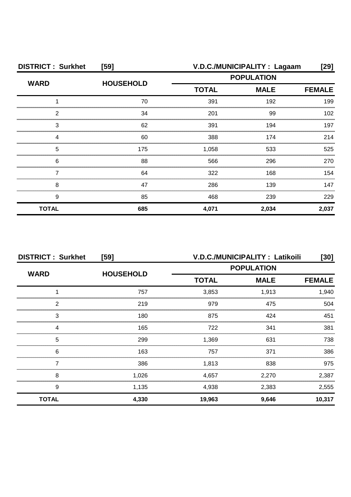| <b>DISTRICT: Surkhet</b> | [59]             | V.D.C./MUNICIPALITY : Lagaam |             |               |  |
|--------------------------|------------------|------------------------------|-------------|---------------|--|
| <b>WARD</b>              |                  | <b>POPULATION</b>            |             |               |  |
|                          | <b>HOUSEHOLD</b> | <b>TOTAL</b>                 | <b>MALE</b> | <b>FEMALE</b> |  |
|                          | 70               | 391                          | 192         | 199           |  |
| 2                        | 34               | 201                          | 99          | 102           |  |
| З                        | 62               | 391                          | 194         | 197           |  |
| Δ                        | 60               | 388                          | 174         | 214           |  |
| 5                        | 175              | 1,058                        | 533         | 525           |  |
| 6                        | 88               | 566                          | 296         | 270           |  |
|                          | 64               | 322                          | 168         | 154           |  |
| 8                        | 47               | 286                          | 139         | 147           |  |
| 9                        | 85               | 468                          | 239         | 229           |  |
| <b>TOTAL</b>             | 685              | 4,071                        | 2,034       | 2,037         |  |

| <b>DISTRICT: Surkhet</b><br>[59] |                  | V.D.C./MUNICIPALITY: Latikoili<br>[30] |             |               |
|----------------------------------|------------------|----------------------------------------|-------------|---------------|
| <b>WARD</b>                      |                  | <b>POPULATION</b>                      |             |               |
|                                  | <b>HOUSEHOLD</b> | <b>TOTAL</b>                           | <b>MALE</b> | <b>FEMALE</b> |
|                                  | 757              | 3,853                                  | 1,913       | 1,940         |
| 2                                | 219              | 979                                    | 475         | 504           |
| 3                                | 180              | 875                                    | 424         | 451           |
|                                  | 165              | 722                                    | 341         | 381           |
| 5                                | 299              | 1.369                                  | 631         | 738           |
| 6                                | 163              | 757                                    | 371         | 386           |
|                                  | 386              | 1,813                                  | 838         | 975           |
| 8                                | 1,026            | 4,657                                  | 2,270       | 2,387         |
| 9                                | 1,135            | 4,938                                  | 2,383       | 2,555         |
| <b>TOTAL</b>                     | 4,330            | 19,963                                 | 9,646       | 10,317        |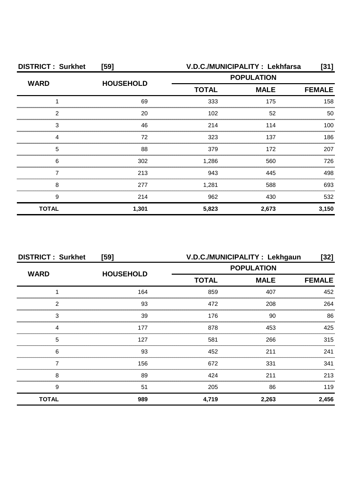| <b>DISTRICT: Surkhet</b> | [59]             |              | V.D.C./MUNICIPALITY : Lekhfarsa | [31]  |
|--------------------------|------------------|--------------|---------------------------------|-------|
| <b>WARD</b>              | <b>HOUSEHOLD</b> |              | <b>POPULATION</b>               |       |
|                          |                  | <b>TOTAL</b> | <b>MALE</b>                     |       |
|                          | 69               | 333          | 175                             | 158   |
| っ                        | 20               | 102          | 52                              | 50    |
| 3                        | 46               | 214          | 114                             | 100   |
|                          | 72               | 323          | 137                             | 186   |
| 5                        | 88               | 379          | 172                             | 207   |
| 6                        | 302              | 1,286        | 560                             | 726   |
|                          | 213              | 943          | 445                             | 498   |
| 8                        | 277              | 1,281        | 588                             | 693   |
| 9                        | 214              | 962          | 430                             | 532   |
| <b>TOTAL</b>             | 1,301            | 5,823        | 2,673                           | 3,150 |

| <b>DISTRICT: Surkhet</b><br>[59] |                  | V.D.C./MUNICIPALITY : Lekhgaun<br>[32] |                   |               |  |
|----------------------------------|------------------|----------------------------------------|-------------------|---------------|--|
| <b>WARD</b>                      | <b>HOUSEHOLD</b> |                                        | <b>POPULATION</b> |               |  |
|                                  |                  | <b>TOTAL</b>                           | <b>MALE</b>       | <b>FEMALE</b> |  |
|                                  | 164              | 859                                    | 407               | 452           |  |
| っ                                | 93               | 472                                    | 208               | 264           |  |
| 3                                | 39               | 176                                    | 90                | 86            |  |
|                                  | 177              | 878                                    | 453               | 425           |  |
| 5                                | 127              | 581                                    | 266               | 315           |  |
| 6                                | 93               | 452                                    | 211               | 241           |  |
|                                  | 156              | 672                                    | 331               | 341           |  |
| 8                                | 89               | 424                                    | 211               | 213           |  |
| 9                                | 51               | 205                                    | 86                | 119           |  |
| <b>TOTAL</b>                     | 989              | 4,719                                  | 2,263             | 2,456         |  |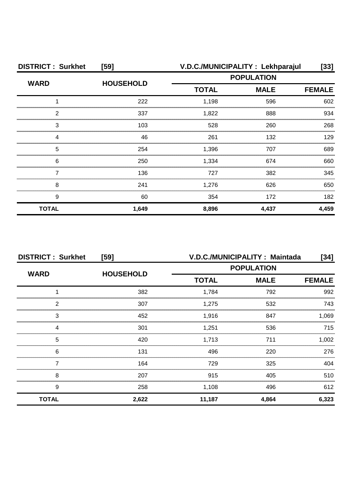| <b>DISTRICT: Surkhet</b><br>$[59]$ |                  | V.D.C./MUNICIPALITY : Lekhparajul<br>$[33]$ |             |               |
|------------------------------------|------------------|---------------------------------------------|-------------|---------------|
| <b>WARD</b>                        |                  | <b>POPULATION</b>                           |             |               |
|                                    | <b>HOUSEHOLD</b> | <b>TOTAL</b>                                | <b>MALE</b> | <b>FEMALE</b> |
|                                    | 222              | 1,198                                       | 596         | 602           |
| 2                                  | 337              | 1,822                                       | 888         | 934           |
| З                                  | 103              | 528                                         | 260         | 268           |
| Δ                                  | 46               | 261                                         | 132         | 129           |
| 5                                  | 254              | 1,396                                       | 707         | 689           |
| 6                                  | 250              | 1,334                                       | 674         | 660           |
|                                    | 136              | 727                                         | 382         | 345           |
| 8                                  | 241              | 1,276                                       | 626         | 650           |
| 9                                  | 60               | 354                                         | 172         | 182           |
| <b>TOTAL</b>                       | 1,649            | 8,896                                       | 4,437       | 4,459         |

| <b>DISTRICT: Surkhet</b><br>[59] |                  | V.D.C./MUNICIPALITY: Maintada<br>[34] |             |               |
|----------------------------------|------------------|---------------------------------------|-------------|---------------|
| <b>WARD</b>                      |                  | <b>POPULATION</b>                     |             |               |
|                                  | <b>HOUSEHOLD</b> | <b>TOTAL</b>                          | <b>MALE</b> | <b>FEMALE</b> |
|                                  | 382              | 1,784                                 | 792         | 992           |
| っ                                | 307              | 1,275                                 | 532         | 743           |
| 3                                | 452              | 1,916                                 | 847         | 1.069         |
|                                  | 301              | 1.251                                 | 536         | 715           |
| 5                                | 420              | 1,713                                 | 711         | 1.002         |
| 6                                | 131              | 496                                   | 220         | 276           |
|                                  | 164              | 729                                   | 325         | 404           |
| 8                                | 207              | 915                                   | 405         | 510           |
| 9                                | 258              | 1,108                                 | 496         | 612           |
| <b>TOTAL</b>                     | 2,622            | 11,187                                | 4,864       | 6,323         |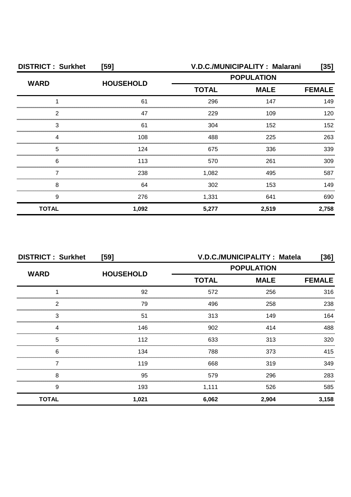| <b>DISTRICT: Surkhet</b> | [59]             | V.D.C./MUNICIPALITY: Malarani<br>[35] |       |               |
|--------------------------|------------------|---------------------------------------|-------|---------------|
| <b>WARD</b>              | <b>HOUSEHOLD</b> | <b>POPULATION</b>                     |       |               |
|                          |                  | <b>TOTAL</b><br><b>MALE</b>           |       | <b>FEMALE</b> |
|                          | 61               | 296                                   | 147   | 149           |
| っ                        | 47               | 229                                   | 109   | 120           |
| З                        | 61               | 304                                   | 152   | 152           |
|                          | 108              | 488                                   | 225   | 263           |
| 5                        | 124              | 675                                   | 336   | 339           |
| 6                        | 113              | 570                                   | 261   | 309           |
|                          | 238              | 1,082                                 | 495   | 587           |
| 8                        | 64               | 302                                   | 153   | 149           |
| 9                        | 276              | 1,331                                 | 641   | 690           |
| <b>TOTAL</b>             | 1,092            | 5,277                                 | 2,519 | 2,758         |

| <b>DISTRICT: Surkhet</b><br>[59] |                  |              | V.D.C./MUNICIPALITY : Matela<br>[36] |               |  |
|----------------------------------|------------------|--------------|--------------------------------------|---------------|--|
| <b>WARD</b>                      | <b>HOUSEHOLD</b> |              | <b>POPULATION</b>                    |               |  |
|                                  |                  | <b>TOTAL</b> | <b>MALE</b>                          | <b>FEMALE</b> |  |
|                                  | 92               | 572          | 256                                  | 316           |  |
| 2                                | 79               | 496          | 258                                  | 238           |  |
| 3                                | 51               | 313          | 149                                  | 164           |  |
|                                  | 146              | 902          | 414                                  | 488           |  |
| 5                                | 112              | 633          | 313                                  | 320           |  |
| 6                                | 134              | 788          | 373                                  | 415           |  |
|                                  | 119              | 668          | 319                                  | 349           |  |
| 8                                | 95               | 579          | 296                                  | 283           |  |
| 9                                | 193              | 1,111        | 526                                  | 585           |  |
| <b>TOTAL</b>                     | 1,021            | 6,062        | 2,904                                | 3,158         |  |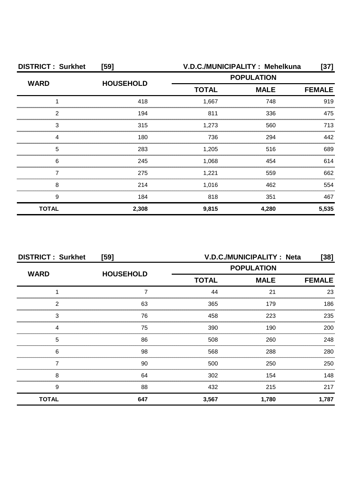| <b>DISTRICT: Surkhet</b> | [59]             | V.D.C./MUNICIPALITY: Mehelkuna |                   |               |  |
|--------------------------|------------------|--------------------------------|-------------------|---------------|--|
| <b>WARD</b>              | <b>HOUSEHOLD</b> | <b>TOTAL</b>                   | <b>POPULATION</b> |               |  |
|                          |                  |                                | <b>MALE</b>       | <b>FEMALE</b> |  |
|                          | 418              | 1,667                          | 748               | 919           |  |
| ႒                        | 194              | 811                            | 336               | 475           |  |
| 3                        | 315              | 1,273                          | 560               | 713           |  |
|                          | 180              | 736                            | 294               | 442           |  |
| 5                        | 283              | 1,205                          | 516               | 689           |  |
| 6                        | 245              | 1,068                          | 454               | 614           |  |
|                          | 275              | 1,221                          | 559               | 662           |  |
| 8                        | 214              | 1,016                          | 462               | 554           |  |
| 9                        | 184              | 818                            | 351               | 467           |  |
| <b>TOTAL</b>             | 2,308            | 9,815                          | 4,280             | 5,535         |  |

| <b>DISTRICT: Surkhet</b><br>[59] |                  | V.D.C./MUNICIPALITY: Neta<br>$[38]$              |       |               |
|----------------------------------|------------------|--------------------------------------------------|-------|---------------|
| <b>WARD</b>                      | <b>HOUSEHOLD</b> | <b>POPULATION</b><br><b>MALE</b><br><b>TOTAL</b> |       |               |
|                                  |                  |                                                  |       | <b>FEMALE</b> |
|                                  |                  | 44                                               | 21    | 23            |
| 2                                | 63               | 365                                              | 179   | 186           |
| 3                                | 76               | 458                                              | 223   | 235           |
|                                  | 75               | 390                                              | 190   | 200           |
| 5                                | 86               | 508                                              | 260   | 248           |
| 6                                | 98               | 568                                              | 288   | 280           |
|                                  | 90               | 500                                              | 250   | 250           |
| 8                                | 64               | 302                                              | 154   | 148           |
| 9                                | 88               | 432                                              | 215   | 217           |
| <b>TOTAL</b>                     | 647              | 3,567                                            | 1,780 | 1,787         |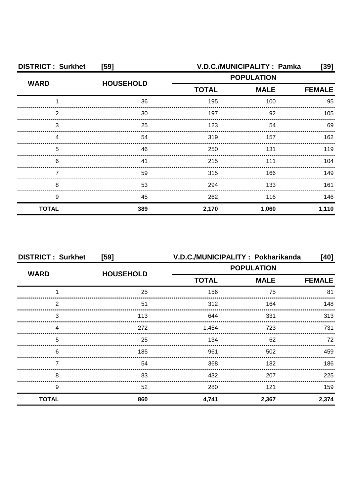| <b>DISTRICT: Surkhet</b> | [59]             | V.D.C./MUNICIPALITY: Pamka        |             |               |  |
|--------------------------|------------------|-----------------------------------|-------------|---------------|--|
| <b>WARD</b>              | <b>HOUSEHOLD</b> | <b>POPULATION</b><br><b>TOTAL</b> |             |               |  |
|                          |                  |                                   | <b>MALE</b> | <b>FEMALE</b> |  |
|                          | 36               | 195                               | 100         | 95            |  |
| 2                        | 30               | 197                               | 92          | 105           |  |
| З                        | 25               | 123                               | 54          | 69            |  |
|                          | 54               | 319                               | 157         | 162           |  |
| 5                        | 46               | 250                               | 131         | 119           |  |
| 6                        | 41               | 215                               | 111         | 104           |  |
|                          | 59               | 315                               | 166         | 149           |  |
| 8                        | 53               | 294                               | 133         | 161           |  |
| 9                        | 45               | 262                               | 116         | 146           |  |
| <b>TOTAL</b>             | 389              | 2,170                             | 1,060       | 1,110         |  |

| <b>DISTRICT: Surkhet</b> | $[59]$           |                   | V.D.C./MUNICIPALITY: Pokharikanda | [40]          |
|--------------------------|------------------|-------------------|-----------------------------------|---------------|
|                          | <b>HOUSEHOLD</b> | <b>POPULATION</b> |                                   |               |
| <b>WARD</b>              |                  | <b>TOTAL</b>      | <b>MALE</b>                       | <b>FEMALE</b> |
|                          | 25               | 156               | 75                                | 81            |
| っ                        | 51               | 312               | 164                               | 148           |
| 3                        | 113              | 644               | 331                               | 313           |
|                          | 272              | 1,454             | 723                               | 731           |
| 5                        | 25               | 134               | 62                                | 72            |
| 6                        | 185              | 961               | 502                               | 459           |
|                          | 54               | 368               | 182                               | 186           |
| 8                        | 83               | 432               | 207                               | 225           |
| 9                        | 52               | 280               | 121                               | 159           |
| <b>TOTAL</b>             | 860              | 4,741             | 2,367                             | 2,374         |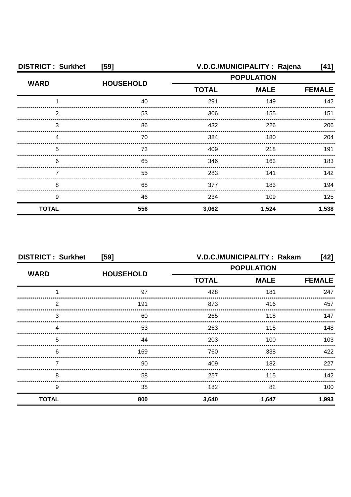| <b>DISTRICT: Surkhet</b> | [59]             | V.D.C./MUNICIPALITY: Rajena<br>[41] |                   |       |
|--------------------------|------------------|-------------------------------------|-------------------|-------|
| <b>WARD</b>              | <b>HOUSEHOLD</b> |                                     | <b>POPULATION</b> |       |
|                          |                  | <b>TOTAL</b>                        | <b>FEMALE</b>     |       |
|                          | 40               | 291                                 | 149               | 142   |
| 2                        | 53               | 306                                 | 155               | 151   |
| 3                        | 86               | 432                                 | 226               | 206   |
|                          | 70               | 384                                 | 180               | 204   |
| 5                        | 73               | 409                                 | 218               | 191   |
| 6                        | 65               | 346                                 | 163               | 183   |
|                          | 55               | 283                                 | 141               | 142   |
| 8                        | 68               | 377                                 | 183               | 194   |
| 9                        | 46               | 234                                 | 109               | 125   |
| <b>TOTAL</b>             | 556              | 3,062                               | 1,524             | 1,538 |

| <b>DISTRICT: Surkhet</b><br>[59] |                  |              | V.D.C./MUNICIPALITY: Rakam<br>$[42]$ |       |  |
|----------------------------------|------------------|--------------|--------------------------------------|-------|--|
| <b>WARD</b>                      | <b>HOUSEHOLD</b> |              | <b>POPULATION</b>                    |       |  |
|                                  |                  | <b>TOTAL</b> | <b>MALE</b>                          |       |  |
|                                  | 97               | 428          | 181                                  | 247   |  |
| っ                                | 191              | 873          | 416                                  | 457   |  |
| 3                                | 60               | 265          | 118                                  | 147   |  |
|                                  | 53               | 263          | 115                                  | 148   |  |
| 5                                | 44               | 203          | 100                                  | 103   |  |
| 6                                | 169              | 760          | 338                                  | 422   |  |
|                                  | 90               | 409          | 182                                  | 227   |  |
| 8                                | 58               | 257          | 115                                  | 142   |  |
| 9                                | 38               | 182          | 82                                   | 100   |  |
| <b>TOTAL</b>                     | 800              | 3,640        | 1,647                                | 1,993 |  |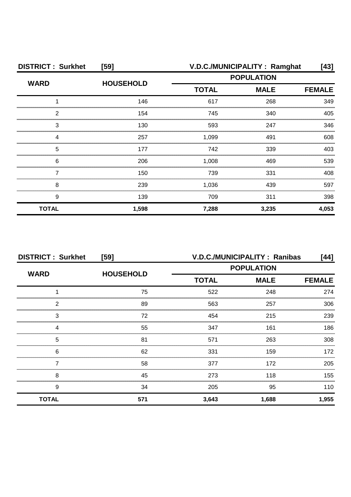| <b>DISTRICT: Surkhet</b> | [59]             | V.D.C./MUNICIPALITY: Ramghat<br>[43] |             |               |
|--------------------------|------------------|--------------------------------------|-------------|---------------|
| <b>WARD</b>              |                  | <b>POPULATION</b>                    |             |               |
|                          | <b>HOUSEHOLD</b> | <b>TOTAL</b>                         | <b>MALE</b> | <b>FEMALE</b> |
|                          | 146              | 617                                  | 268         | 349           |
| 2                        | 154              | 745                                  | 340         | 405           |
| 3                        | 130              | 593                                  | 247         | 346           |
|                          | 257              | 1,099                                | 491         | 608           |
| 5                        | 177              | 742                                  | 339         | 403           |
| 6                        | 206              | 1,008                                | 469         | 539           |
|                          | 150              | 739                                  | 331         | 408           |
| 8                        | 239              | 1,036                                | 439         | 597           |
| 9                        | 139              | 709                                  | 311         | 398           |
| <b>TOTAL</b>             | 1,598            | 7,288                                | 3,235       | 4,053         |

| <b>DISTRICT: Surkhet</b><br>[59] |                  | V.D.C./MUNICIPALITY: Ranibas<br>[44] |             |               |
|----------------------------------|------------------|--------------------------------------|-------------|---------------|
| <b>WARD</b>                      |                  | <b>POPULATION</b>                    |             |               |
|                                  | <b>HOUSEHOLD</b> | <b>TOTAL</b>                         | <b>MALE</b> | <b>FEMALE</b> |
|                                  | 75               | 522                                  | 248         | 274           |
| 2                                | 89               | 563                                  | 257         | 306           |
| 3                                | 72               | 454                                  | 215         | 239           |
|                                  | 55               | 347                                  | 161         | 186           |
| 5                                | 81               | 571                                  | 263         | 308           |
| 6                                | 62               | 331                                  | 159         | 172           |
|                                  | 58               | 377                                  | 172         | 205           |
| 8                                | 45               | 273                                  | 118         | 155           |
| 9                                | 34               | 205                                  | 95          | 110           |
| <b>TOTAL</b>                     | 571              | 3,643                                | 1,688       | 1,955         |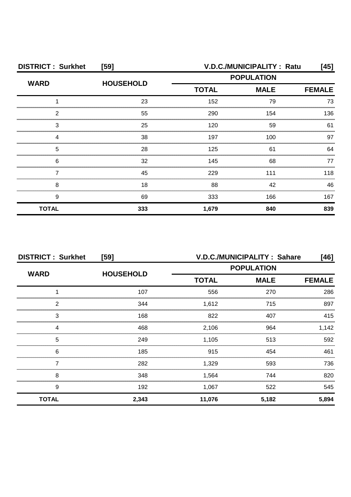| <b>DISTRICT: Surkhet</b><br>[59] |                  | V.D.C./MUNICIPALITY: Ratu<br>[45] |             |               |
|----------------------------------|------------------|-----------------------------------|-------------|---------------|
| <b>WARD</b>                      | <b>HOUSEHOLD</b> | <b>POPULATION</b>                 |             |               |
|                                  |                  | <b>TOTAL</b>                      | <b>MALE</b> | <b>FEMALE</b> |
|                                  | 23               | 152                               | 79          | 73            |
| ◠                                | 55               | 290                               | 154         | 136           |
| З                                | 25               | 120                               | 59          | 61            |
|                                  | 38               | 197                               | 100         | 97            |
| 5                                | 28               | 125                               | 61          | 64            |
| 6                                | 32               | 145                               | 68          | 77            |
|                                  | 45               | 229                               | 111         | 118           |
| 8                                | 18               | 88                                | 42          | 46            |
| 9                                | 69               | 333                               | 166         | 167           |
| <b>TOTAL</b>                     | 333              | 1,679                             | 840         | 839           |

| <b>DISTRICT: Surkhet</b><br>[59] |                  | V.D.C./MUNICIPALITY: Sahare<br>[46] |                   |               |
|----------------------------------|------------------|-------------------------------------|-------------------|---------------|
| <b>WARD</b>                      | <b>HOUSEHOLD</b> |                                     | <b>POPULATION</b> |               |
|                                  |                  | <b>TOTAL</b>                        | <b>MALE</b>       | <b>FEMALE</b> |
|                                  | 107              | 556                                 | 270               | 286           |
| っ                                | 344              | 1,612                               | 715               | 897           |
| 3                                | 168              | 822                                 | 407               | 415           |
|                                  | 468              | 2,106                               | 964               | 1.142         |
| 5                                | 249              | 1,105                               | 513               | 592           |
| 6                                | 185              | 915                                 | 454               | 461           |
|                                  | 282              | 1,329                               | 593               | 736           |
| 8                                | 348              | 1,564                               | 744               | 820           |
| 9                                | 192              | 1,067                               | 522               | 545           |
| <b>TOTAL</b>                     | 2,343            | 11,076                              | 5,182             | 5,894         |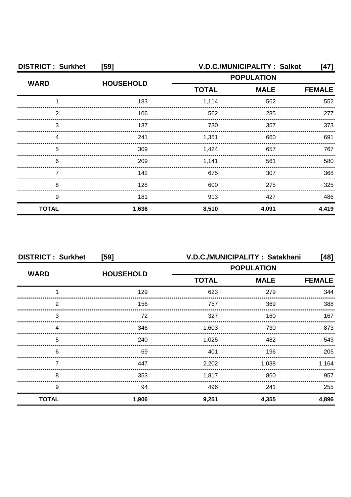| <b>DISTRICT: Surkhet</b><br>[59] |                  |              | V.D.C./MUNICIPALITY: Salkot<br>[47] |               |  |
|----------------------------------|------------------|--------------|-------------------------------------|---------------|--|
| <b>WARD</b>                      | <b>HOUSEHOLD</b> |              | <b>POPULATION</b>                   |               |  |
|                                  |                  | <b>TOTAL</b> | <b>MALE</b>                         | <b>FEMALE</b> |  |
|                                  | 183              | 1,114        | 562                                 | 552           |  |
| 2                                | 106              | 562          | 285                                 | 277           |  |
| 3                                | 137              | 730          | 357                                 | 373           |  |
| Δ                                | 241              | 1,351        | 660                                 | 691           |  |
| 5                                | 309              | 1,424        | 657                                 | 767           |  |
| 6                                | 209              | 1,141        | 561                                 | 580           |  |
|                                  | 142              | 675          | 307                                 | 368           |  |
| 8                                | 128              | 600          | 275                                 | 325           |  |
| 9                                | 181              | 913          | 427                                 | 486           |  |
| <b>TOTAL</b>                     | 1,636            | 8,510        | 4,091                               | 4,419         |  |

| <b>DISTRICT: Surkhet</b><br>[59] |                  | V.D.C./MUNICIPALITY: Satakhani<br>[48] |       |               |
|----------------------------------|------------------|----------------------------------------|-------|---------------|
| <b>WARD</b>                      | <b>HOUSEHOLD</b> | <b>POPULATION</b>                      |       |               |
|                                  |                  | <b>TOTAL</b><br><b>MALE</b>            |       | <b>FEMALE</b> |
|                                  | 129              | 623                                    | 279   | 344           |
| っ                                | 156              | 757                                    | 369   | 388           |
| 3                                | 72               | 327                                    | 160   | 167           |
|                                  | 346              | 1,603                                  | 730   | 873           |
| 5                                | 240              | 1,025                                  | 482   | 543           |
| 6                                | 69               | 401                                    | 196   | 205           |
|                                  | 447              | 2,202                                  | 1,038 | 1,164         |
| 8                                | 353              | 1,817                                  | 860   | 957           |
| 9                                | 94               | 496                                    | 241   | 255           |
| <b>TOTAL</b>                     | 1,906            | 9,251                                  | 4,355 | 4,896         |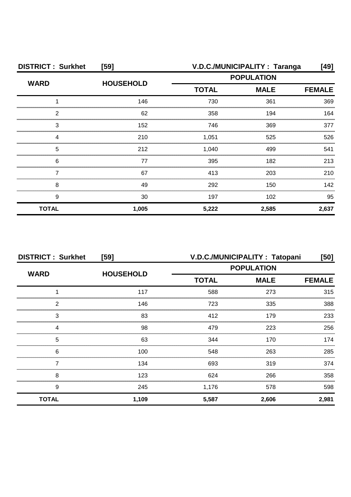| <b>DISTRICT: Surkhet</b> | [59]             | V.D.C./MUNICIPALITY: Taranga<br>[49]<br><b>POPULATION</b> |             |               |
|--------------------------|------------------|-----------------------------------------------------------|-------------|---------------|
| <b>WARD</b>              | <b>HOUSEHOLD</b> |                                                           |             |               |
|                          |                  | <b>TOTAL</b>                                              | <b>MALE</b> | <b>FEMALE</b> |
|                          | 146              | 730                                                       | 361         | 369           |
| 2                        | 62               | 358                                                       | 194         | 164           |
| 3                        | 152              | 746                                                       | 369         | 377           |
|                          | 210              | 1,051                                                     | 525         | 526           |
| 5                        | 212              | 1,040                                                     | 499         | 541           |
| 6                        | 77               | 395                                                       | 182         | 213           |
|                          | 67               | 413                                                       | 203         | 210           |
| 8                        | 49               | 292                                                       | 150         | 142           |
| 9                        | 30               | 197                                                       | 102         | 95            |
| <b>TOTAL</b>             | 1,005            | 5,222                                                     | 2,585       | 2,637         |

| <b>DISTRICT: Surkhet</b> | [59]             | V.D.C./MUNICIPALITY: Tatopani<br>[50] |             |               |
|--------------------------|------------------|---------------------------------------|-------------|---------------|
| <b>WARD</b>              | <b>HOUSEHOLD</b> | <b>POPULATION</b>                     |             |               |
|                          |                  | <b>TOTAL</b>                          | <b>MALE</b> | <b>FEMALE</b> |
|                          | 117              | 588                                   | 273         | 315           |
| っ                        | 146              | 723                                   | 335         | 388           |
| 3                        | 83               | 412                                   | 179         | 233           |
|                          | 98               | 479                                   | 223         | 256           |
| 5                        | 63               | 344                                   | 170         | 174           |
| 6                        | 100              | 548                                   | 263         | 285           |
|                          | 134              | 693                                   | 319         | 374           |
| 8                        | 123              | 624                                   | 266         | 358           |
| 9                        | 245              | 1,176                                 | 578         | 598           |
| <b>TOTAL</b>             | 1,109            | 5,587                                 | 2,606       | 2,981         |